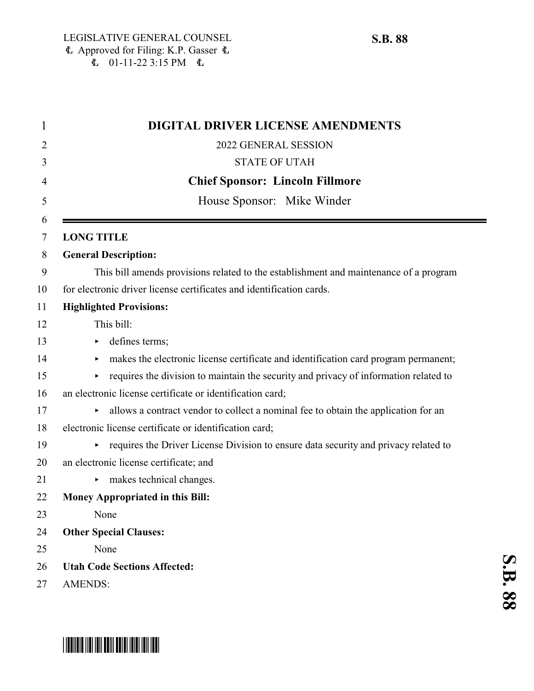| <b>DIGITAL DRIVER LICENSE AMENDMENTS</b>                                                  |
|-------------------------------------------------------------------------------------------|
| 2022 GENERAL SESSION                                                                      |
| <b>STATE OF UTAH</b>                                                                      |
| <b>Chief Sponsor: Lincoln Fillmore</b>                                                    |
| House Sponsor: Mike Winder                                                                |
| <b>LONG TITLE</b>                                                                         |
| <b>General Description:</b>                                                               |
| This bill amends provisions related to the establishment and maintenance of a program     |
| for electronic driver license certificates and identification cards.                      |
| <b>Highlighted Provisions:</b>                                                            |
| This bill:                                                                                |
| defines terms;<br>▶                                                                       |
| makes the electronic license certificate and identification card program permanent;       |
| requires the division to maintain the security and privacy of information related to      |
| an electronic license certificate or identification card;                                 |
| allows a contract vendor to collect a nominal fee to obtain the application for an        |
| electronic license certificate or identification card;                                    |
| requires the Driver License Division to ensure data security and privacy related to<br>▶. |
| an electronic license certificate; and                                                    |
| makes technical changes.                                                                  |
| Money Appropriated in this Bill:                                                          |
| None                                                                                      |
| <b>Other Special Clauses:</b>                                                             |
| None                                                                                      |
| <b>Utah Code Sections Affected:</b>                                                       |
| <b>AMENDS:</b>                                                                            |

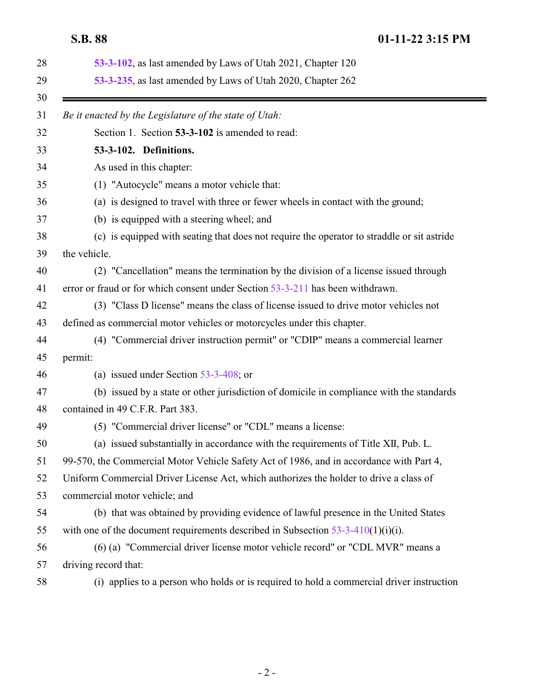<span id="page-1-0"></span>

| 53-3-102, as last amended by Laws of Utah 2021, Chapter 120<br>53-3-235, as last amended by Laws of Utah 2020, Chapter 262 |
|----------------------------------------------------------------------------------------------------------------------------|
|                                                                                                                            |
| Be it enacted by the Legislature of the state of Utah:                                                                     |
| Section 1. Section 53-3-102 is amended to read:                                                                            |
| 53-3-102. Definitions.                                                                                                     |
| As used in this chapter:                                                                                                   |
| (1) "Autocycle" means a motor vehicle that:                                                                                |
| (a) is designed to travel with three or fewer wheels in contact with the ground;                                           |
| (b) is equipped with a steering wheel; and                                                                                 |
| (c) is equipped with seating that does not require the operator to straddle or sit astride                                 |
| the vehicle.                                                                                                               |
| (2) "Cancellation" means the termination by the division of a license issued through                                       |
| error or fraud or for which consent under Section 53-3-211 has been withdrawn.                                             |
| (3) "Class D license" means the class of license issued to drive motor vehicles not                                        |
| defined as commercial motor vehicles or motorcycles under this chapter.                                                    |
| (4) "Commercial driver instruction permit" or "CDIP" means a commercial learner                                            |
| permit:                                                                                                                    |
| (a) issued under Section $53-3-408$ ; or                                                                                   |
| (b) issued by a state or other jurisdiction of domicile in compliance with the standards                                   |
| contained in 49 C.F.R. Part 383.                                                                                           |
| (5) "Commercial driver license" or "CDL" means a license:                                                                  |
| (a) issued substantially in accordance with the requirements of Title XII, Pub. L.                                         |
| 99-570, the Commercial Motor Vehicle Safety Act of 1986, and in accordance with Part 4,                                    |
| Uniform Commercial Driver License Act, which authorizes the holder to drive a class of                                     |
| commercial motor vehicle; and                                                                                              |
| (b) that was obtained by providing evidence of lawful presence in the United States                                        |
| with one of the document requirements described in Subsection $53-3-410(1)(i)(i)$ .                                        |
| (6) (a) "Commercial driver license motor vehicle record" or "CDL MVR" means a                                              |
| driving record that:                                                                                                       |
| (i) applies to a person who holds or is required to hold a commercial driver instruction                                   |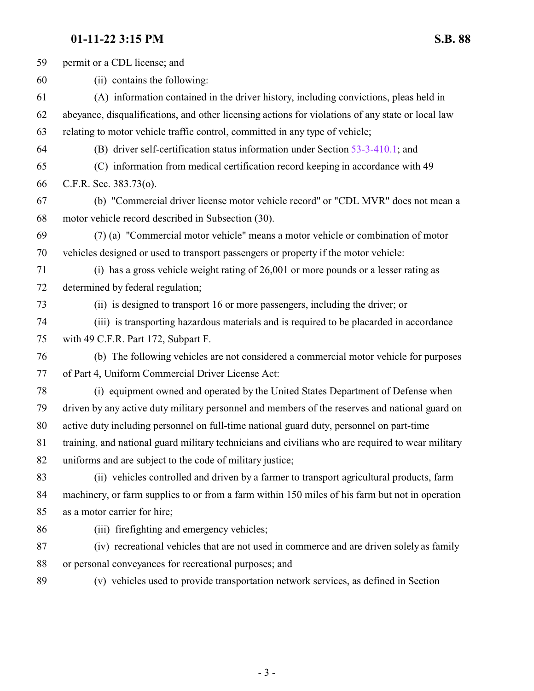permit or a CDL license; and (ii) contains the following: (A) information contained in the driver history, including convictions, pleas held in abeyance, disqualifications, and other licensing actions for violations of any state or local law relating to motor vehicle traffic control, committed in any type of vehicle; (B) driver self-certification status information under Section [53-3-410.1](http://le.utah.gov/UtahCode/SectionLookup.jsp?section=53-3-410.1&session=2022GS); and (C) information from medical certification record keeping in accordance with 49 C.F.R. Sec. 383.73(o). (b) "Commercial driver license motor vehicle record" or "CDL MVR" does not mean a motor vehicle record described in Subsection (30). (7) (a) "Commercial motor vehicle" means a motor vehicle or combination of motor vehicles designed or used to transport passengers or property if the motor vehicle: (i) has a gross vehicle weight rating of 26,001 or more pounds or a lesser rating as determined by federal regulation; (ii) is designed to transport 16 or more passengers, including the driver; or (iii) is transporting hazardous materials and is required to be placarded in accordance with 49 C.F.R. Part 172, Subpart F. (b) The following vehicles are not considered a commercial motor vehicle for purposes of Part 4, Uniform Commercial Driver License Act: (i) equipment owned and operated by the United States Department of Defense when driven by any active duty military personnel and members of the reserves and national guard on active duty including personnel on full-time national guard duty, personnel on part-time training, and national guard military technicians and civilians who are required to wear military uniforms and are subject to the code of military justice; (ii) vehicles controlled and driven by a farmer to transport agricultural products, farm machinery, or farm supplies to or from a farm within 150 miles of his farm but not in operation as a motor carrier for hire; (iii) firefighting and emergency vehicles; (iv) recreational vehicles that are not used in commerce and are driven solely as family or personal conveyances for recreational purposes; and (v) vehicles used to provide transportation network services, as defined in Section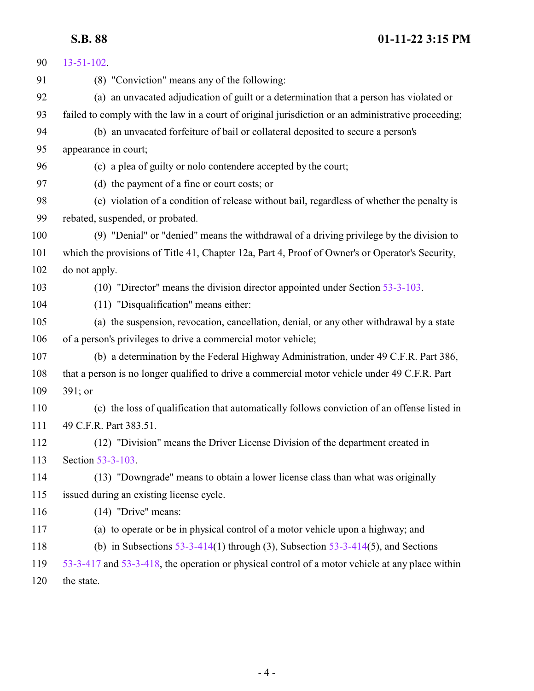| 90  | $13 - 51 - 102$ .                                                                                  |
|-----|----------------------------------------------------------------------------------------------------|
| 91  | (8) "Conviction" means any of the following:                                                       |
| 92  | (a) an unvacated adjudication of guilt or a determination that a person has violated or            |
| 93  | failed to comply with the law in a court of original jurisdiction or an administrative proceeding; |
| 94  | (b) an unvacated forfeiture of bail or collateral deposited to secure a person's                   |
| 95  | appearance in court;                                                                               |
| 96  | (c) a plea of guilty or nolo contendere accepted by the court;                                     |
| 97  | (d) the payment of a fine or court costs; or                                                       |
| 98  | (e) violation of a condition of release without bail, regardless of whether the penalty is         |
| 99  | rebated, suspended, or probated.                                                                   |
| 100 | (9) "Denial" or "denied" means the withdrawal of a driving privilege by the division to            |
| 101 | which the provisions of Title 41, Chapter 12a, Part 4, Proof of Owner's or Operator's Security,    |
| 102 | do not apply.                                                                                      |
| 103 | (10) "Director" means the division director appointed under Section 53-3-103.                      |
| 104 | (11) "Disqualification" means either:                                                              |
| 105 | (a) the suspension, revocation, cancellation, denial, or any other withdrawal by a state           |
| 106 | of a person's privileges to drive a commercial motor vehicle;                                      |
| 107 | (b) a determination by the Federal Highway Administration, under 49 C.F.R. Part 386,               |
| 108 | that a person is no longer qualified to drive a commercial motor vehicle under 49 C.F.R. Part      |
| 109 | $391;$ or                                                                                          |
| 110 | (c) the loss of qualification that automatically follows conviction of an offense listed in        |
| 111 | 49 C.F.R. Part 383.51.                                                                             |
| 112 | (12) "Division" means the Driver License Division of the department created in                     |
| 113 | Section 53-3-103.                                                                                  |
| 114 | (13) "Downgrade" means to obtain a lower license class than what was originally                    |
| 115 | issued during an existing license cycle.                                                           |
| 116 | $(14)$ "Drive" means:                                                                              |
| 117 | (a) to operate or be in physical control of a motor vehicle upon a highway; and                    |
| 118 | (b) in Subsections $53-3-414(1)$ through (3), Subsection $53-3-414(5)$ , and Sections              |
| 119 | 53-3-417 and 53-3-418, the operation or physical control of a motor vehicle at any place within    |
| 120 | the state.                                                                                         |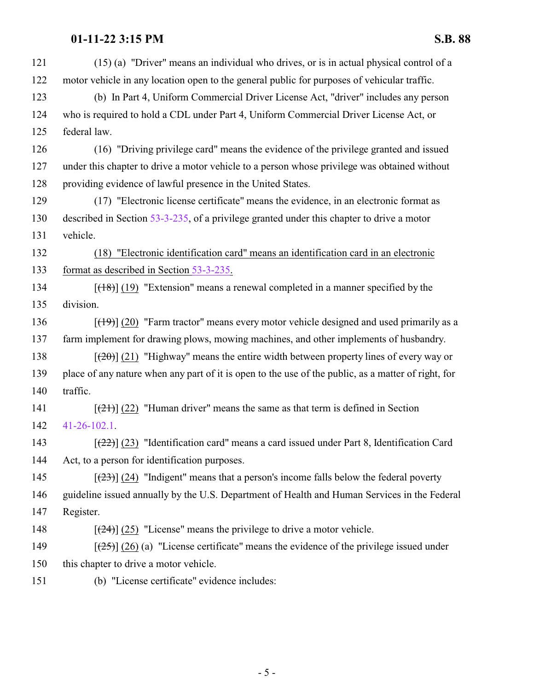| 121 | (15) (a) "Driver" means an individual who drives, or is in actual physical control of a                       |
|-----|---------------------------------------------------------------------------------------------------------------|
| 122 | motor vehicle in any location open to the general public for purposes of vehicular traffic.                   |
| 123 | (b) In Part 4, Uniform Commercial Driver License Act, "driver" includes any person                            |
| 124 | who is required to hold a CDL under Part 4, Uniform Commercial Driver License Act, or                         |
| 125 | federal law.                                                                                                  |
| 126 | (16) "Driving privilege card" means the evidence of the privilege granted and issued                          |
| 127 | under this chapter to drive a motor vehicle to a person whose privilege was obtained without                  |
| 128 | providing evidence of lawful presence in the United States.                                                   |
| 129 | (17) "Electronic license certificate" means the evidence, in an electronic format as                          |
| 130 | described in Section 53-3-235, of a privilege granted under this chapter to drive a motor                     |
| 131 | vehicle.                                                                                                      |
| 132 | (18) "Electronic identification card" means an identification card in an electronic                           |
| 133 | format as described in Section 53-3-235.                                                                      |
| 134 | $[ (18) ] (19)$ "Extension" means a renewal completed in a manner specified by the                            |
| 135 | division.                                                                                                     |
| 136 | $[\frac{(19)}{(20)}]$ "Farm tractor" means every motor vehicle designed and used primarily as a               |
| 137 | farm implement for drawing plows, mowing machines, and other implements of husbandry.                         |
| 138 | $[\frac{120}{2}]$ (21) "Highway" means the entire width between property lines of every way or                |
| 139 | place of any nature when any part of it is open to the use of the public, as a matter of right, for           |
| 140 | traffic.                                                                                                      |
| 141 | $[\frac{(21)}{(22)}]$ "Human driver" means the same as that term is defined in Section                        |
| 142 | $41 - 26 - 102.1$ .                                                                                           |
| 143 | $[\frac{22}{2}]$ (23) "Identification card" means a card issued under Part 8, Identification Card             |
| 144 | Act, to a person for identification purposes.                                                                 |
| 145 | $\left[\frac{(23)}{(23)}\right]$ (24) "Indigent" means that a person's income falls below the federal poverty |
| 146 | guideline issued annually by the U.S. Department of Health and Human Services in the Federal                  |
| 147 | Register.                                                                                                     |
| 148 | $[24]$ (25) "License" means the privilege to drive a motor vehicle.                                           |
| 149 | $[\frac{(25)}{(26)}]$ (26) (a) "License certificate" means the evidence of the privilege issued under         |
| 150 | this chapter to drive a motor vehicle.                                                                        |
| 151 | (b) "License certificate" evidence includes:                                                                  |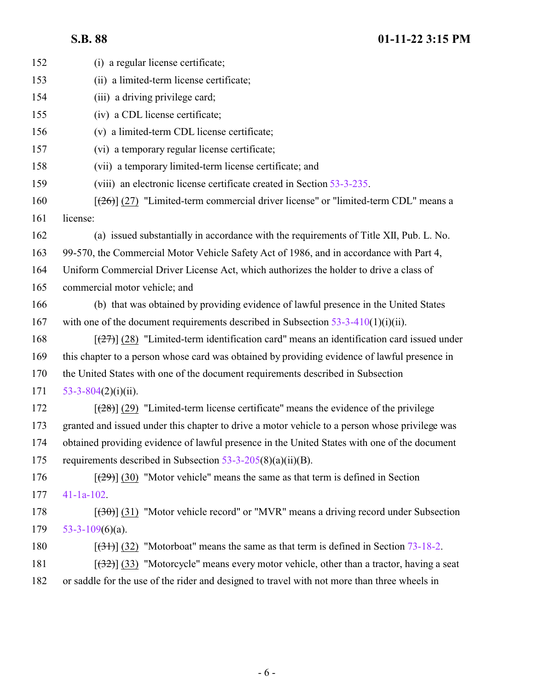| 152 | (i) a regular license certificate;                                                                  |
|-----|-----------------------------------------------------------------------------------------------------|
| 153 | (ii) a limited-term license certificate;                                                            |
| 154 | (iii) a driving privilege card;                                                                     |
| 155 | (iv) a CDL license certificate;                                                                     |
| 156 | (v) a limited-term CDL license certificate;                                                         |
| 157 | (vi) a temporary regular license certificate;                                                       |
| 158 | (vii) a temporary limited-term license certificate; and                                             |
| 159 | (viii) an electronic license certificate created in Section 53-3-235.                               |
| 160 | $[26]$ (27) "Limited-term commercial driver license" or "limited-term CDL" means a                  |
| 161 | license:                                                                                            |
| 162 | (a) issued substantially in accordance with the requirements of Title XII, Pub. L. No.              |
| 163 | 99-570, the Commercial Motor Vehicle Safety Act of 1986, and in accordance with Part 4,             |
| 164 | Uniform Commercial Driver License Act, which authorizes the holder to drive a class of              |
| 165 | commercial motor vehicle; and                                                                       |
| 166 | (b) that was obtained by providing evidence of lawful presence in the United States                 |
| 167 | with one of the document requirements described in Subsection $53-3-410(1)(i)(ii)$ .                |
| 168 | $[\frac{27}{27}]$ (28) "Limited-term identification card" means an identification card issued under |
| 169 | this chapter to a person whose card was obtained by providing evidence of lawful presence in        |
| 170 | the United States with one of the document requirements described in Subsection                     |
| 171 | $53 - 3 - 804(2)(i)(ii)$ .                                                                          |
| 172 | $[28]$ (29) "Limited-term license certificate" means the evidence of the privilege                  |
| 173 | granted and issued under this chapter to drive a motor vehicle to a person whose privilege was      |
| 174 | obtained providing evidence of lawful presence in the United States with one of the document        |
| 175 | requirements described in Subsection $53-3-205(8)(a)(ii)(B)$ .                                      |
| 176 | $[29]$ (30) "Motor vehicle" means the same as that term is defined in Section                       |
| 177 | $41-1a-102$ .                                                                                       |
| 178 | $[30]$ (31) "Motor vehicle record" or "MVR" means a driving record under Subsection                 |
| 179 | $53-3-109(6)(a)$ .                                                                                  |
| 180 | $[31]$ (32) "Motorboat" means the same as that term is defined in Section 73-18-2.                  |
| 181 | $[32]$ (33) "Motorcycle" means every motor vehicle, other than a tractor, having a seat             |
| 182 | or saddle for the use of the rider and designed to travel with not more than three wheels in        |
|     |                                                                                                     |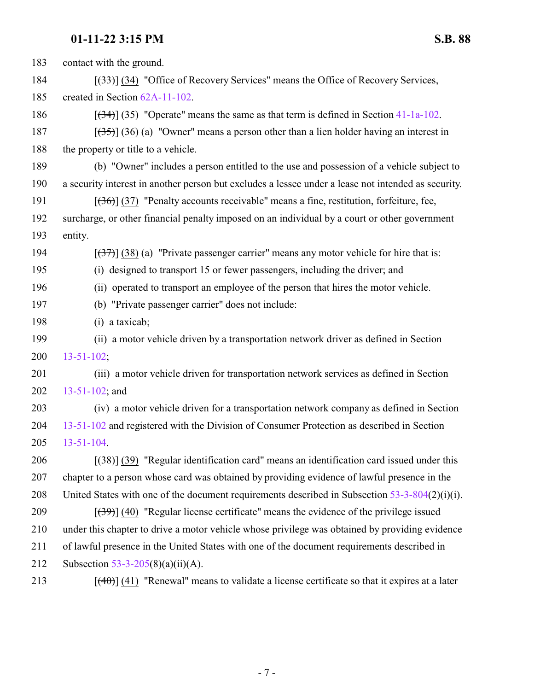| 183 | contact with the ground.                                                                            |
|-----|-----------------------------------------------------------------------------------------------------|
| 184 | $[33]$ (34) "Office of Recovery Services" means the Office of Recovery Services,                    |
| 185 | created in Section 62A-11-102.                                                                      |
| 186 | $[ (34) ]$ (35) "Operate" means the same as that term is defined in Section 41-1a-102.              |
| 187 | $[35]$ (36) (a) "Owner" means a person other than a lien holder having an interest in               |
| 188 | the property or title to a vehicle.                                                                 |
| 189 | (b) "Owner" includes a person entitled to the use and possession of a vehicle subject to            |
| 190 | a security interest in another person but excludes a lessee under a lease not intended as security. |
| 191 | $[ (36) ]$ (37) "Penalty accounts receivable" means a fine, restitution, forfeiture, fee,           |
| 192 | surcharge, or other financial penalty imposed on an individual by a court or other government       |
| 193 | entity.                                                                                             |
| 194 | $[37]$ (38) (a) "Private passenger carrier" means any motor vehicle for hire that is:               |
| 195 | (i) designed to transport 15 or fewer passengers, including the driver; and                         |
| 196 | (ii) operated to transport an employee of the person that hires the motor vehicle.                  |
| 197 | (b) "Private passenger carrier" does not include:                                                   |
| 198 | $(i)$ a taxicab;                                                                                    |
| 199 | (ii) a motor vehicle driven by a transportation network driver as defined in Section                |
| 200 | $13 - 51 - 102$ ;                                                                                   |
| 201 | (iii) a motor vehicle driven for transportation network services as defined in Section              |
| 202 | $13 - 51 - 102$ ; and                                                                               |
| 203 | (iv) a motor vehicle driven for a transportation network company as defined in Section              |
| 204 | 13-51-102 and registered with the Division of Consumer Protection as described in Section           |
| 205 | $13 - 51 - 104$ .                                                                                   |
| 206 | $[38]$ (39) "Regular identification card" means an identification card issued under this            |
| 207 | chapter to a person whose card was obtained by providing evidence of lawful presence in the         |
| 208 | United States with one of the document requirements described in Subsection $53-3-804(2)(i)(i)$ .   |
| 209 | $[39]$ (40) "Regular license certificate" means the evidence of the privilege issued                |
| 210 | under this chapter to drive a motor vehicle whose privilege was obtained by providing evidence      |
| 211 | of lawful presence in the United States with one of the document requirements described in          |
| 212 | Subsection 53-3-205(8)(a)(ii)(A).                                                                   |
| 213 | $[$ (40)] (41) "Renewal" means to validate a license certificate so that it expires at a later      |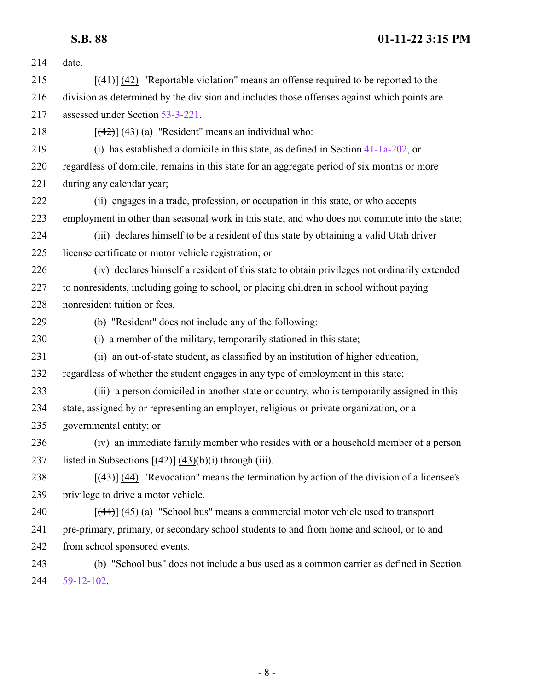| 214 | date.                                                                                          |
|-----|------------------------------------------------------------------------------------------------|
|     |                                                                                                |
| 215 | $[$ (41) (42) "Reportable violation" means an offense required to be reported to the           |
| 216 | division as determined by the division and includes those offenses against which points are    |
| 217 | assessed under Section 53-3-221.                                                               |
| 218 | $[\frac{42}{3}]$ (43) (a) "Resident" means an individual who:                                  |
| 219 | (i) has established a domicile in this state, as defined in Section $41-1a-202$ , or           |
| 220 | regardless of domicile, remains in this state for an aggregate period of six months or more    |
| 221 | during any calendar year;                                                                      |
| 222 | (ii) engages in a trade, profession, or occupation in this state, or who accepts               |
| 223 | employment in other than seasonal work in this state, and who does not commute into the state; |
| 224 | (iii) declares himself to be a resident of this state by obtaining a valid Utah driver         |
| 225 | license certificate or motor vehicle registration; or                                          |
| 226 | (iv) declares himself a resident of this state to obtain privileges not ordinarily extended    |
| 227 | to nonresidents, including going to school, or placing children in school without paying       |
| 228 | nonresident tuition or fees.                                                                   |
| 229 | (b) "Resident" does not include any of the following:                                          |
| 230 | (i) a member of the military, temporarily stationed in this state;                             |
| 231 | (ii) an out-of-state student, as classified by an institution of higher education,             |
| 232 | regardless of whether the student engages in any type of employment in this state;             |
| 233 | (iii) a person domiciled in another state or country, who is temporarily assigned in this      |
| 234 | state, assigned by or representing an employer, religious or private organization, or a        |
| 235 | governmental entity; or                                                                        |
| 236 | (iv) an immediate family member who resides with or a household member of a person             |
| 237 | listed in Subsections $[(42)] (43)(b)(i)$ through (iii).                                       |
| 238 | $[$ (43)] (44) "Revocation" means the termination by action of the division of a licensee's    |
| 239 | privilege to drive a motor vehicle.                                                            |
| 240 | $[$ (44)] (45) (a) "School bus" means a commercial motor vehicle used to transport             |
| 241 | pre-primary, primary, or secondary school students to and from home and school, or to and      |
| 242 | from school sponsored events.                                                                  |
| 243 | (b) "School bus" does not include a bus used as a common carrier as defined in Section         |
| 244 | 59-12-102.                                                                                     |